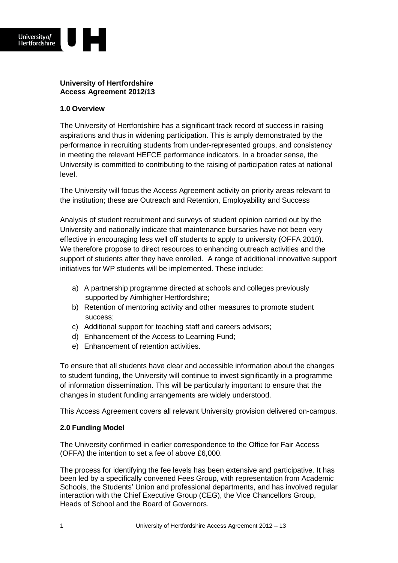

## **University of Hertfordshire Access Agreement 2012/13**

## **1.0 Overview**

The University of Hertfordshire has a significant track record of success in raising aspirations and thus in widening participation. This is amply demonstrated by the performance in recruiting students from under-represented groups, and consistency in meeting the relevant HEFCE performance indicators. In a broader sense, the University is committed to contributing to the raising of participation rates at national level.

The University will focus the Access Agreement activity on priority areas relevant to the institution; these are Outreach and Retention, Employability and Success

Analysis of student recruitment and surveys of student opinion carried out by the University and nationally indicate that maintenance bursaries have not been very effective in encouraging less well off students to apply to university (OFFA 2010). We therefore propose to direct resources to enhancing outreach activities and the support of students after they have enrolled. A range of additional innovative support initiatives for WP students will be implemented. These include:

- a) A partnership programme directed at schools and colleges previously supported by Aimhigher Hertfordshire;
- b) Retention of mentoring activity and other measures to promote student success;
- c) Additional support for teaching staff and careers advisors;
- d) Enhancement of the Access to Learning Fund;
- e) Enhancement of retention activities.

To ensure that all students have clear and accessible information about the changes to student funding, the University will continue to invest significantly in a programme of information dissemination. This will be particularly important to ensure that the changes in student funding arrangements are widely understood.

This Access Agreement covers all relevant University provision delivered on-campus.

# **2.0 Funding Model**

The University confirmed in earlier correspondence to the Office for Fair Access (OFFA) the intention to set a fee of above £6,000.

The process for identifying the fee levels has been extensive and participative. It has been led by a specifically convened Fees Group, with representation from Academic Schools, the Students' Union and professional departments, and has involved regular interaction with the Chief Executive Group (CEG), the Vice Chancellors Group, Heads of School and the Board of Governors.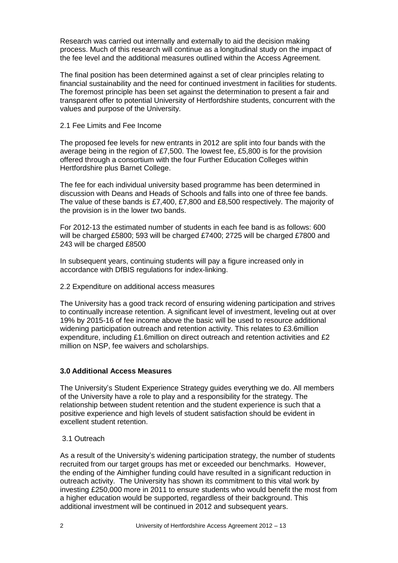Research was carried out internally and externally to aid the decision making process. Much of this research will continue as a longitudinal study on the impact of the fee level and the additional measures outlined within the Access Agreement.

The final position has been determined against a set of clear principles relating to financial sustainability and the need for continued investment in facilities for students. The foremost principle has been set against the determination to present a fair and transparent offer to potential University of Hertfordshire students, concurrent with the values and purpose of the University.

### 2.1 Fee Limits and Fee Income

The proposed fee levels for new entrants in 2012 are split into four bands with the average being in the region of £7,500. The lowest fee, £5,800 is for the provision offered through a consortium with the four Further Education Colleges within Hertfordshire plus Barnet College.

The fee for each individual university based programme has been determined in discussion with Deans and Heads of Schools and falls into one of three fee bands. The value of these bands is £7,400, £7,800 and £8,500 respectively. The majority of the provision is in the lower two bands.

For 2012-13 the estimated number of students in each fee band is as follows: 600 will be charged £5800; 593 will be charged £7400; 2725 will be charged £7800 and 243 will be charged £8500

In subsequent years, continuing students will pay a figure increased only in accordance with DfBIS regulations for index-linking.

#### 2.2 Expenditure on additional access measures

The University has a good track record of ensuring widening participation and strives to continually increase retention. A significant level of investment, leveling out at over 19% by 2015-16 of fee income above the basic will be used to resource additional widening participation outreach and retention activity. This relates to £3.6million expenditure, including £1.6million on direct outreach and retention activities and £2 million on NSP, fee waivers and scholarships.

## **3.0 Additional Access Measures**

The University's Student Experience Strategy guides everything we do. All members of the University have a role to play and a responsibility for the strategy. The relationship between student retention and the student experience is such that a positive experience and high levels of student satisfaction should be evident in excellent student retention.

## 3.1 Outreach

As a result of the University's widening participation strategy, the number of students recruited from our target groups has met or exceeded our benchmarks. However, the ending of the Aimhigher funding could have resulted in a significant reduction in outreach activity. The University has shown its commitment to this vital work by investing £250,000 more in 2011 to ensure students who would benefit the most from a higher education would be supported, regardless of their background. This additional investment will be continued in 2012 and subsequent years.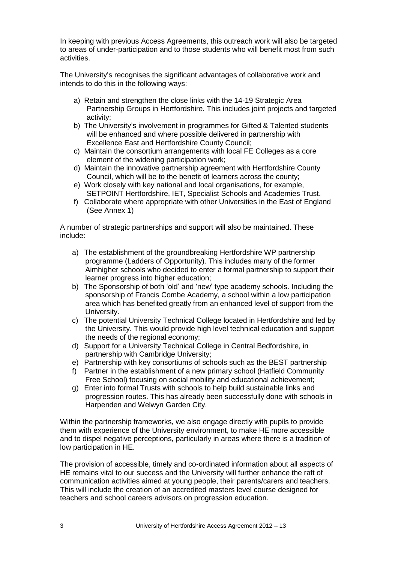In keeping with previous Access Agreements, this outreach work will also be targeted to areas of under-participation and to those students who will benefit most from such activities.

The University's recognises the significant advantages of collaborative work and intends to do this in the following ways:

- a) Retain and strengthen the close links with the 14-19 Strategic Area Partnership Groups in Hertfordshire. This includes joint projects and targeted activity;
- b) The University's involvement in programmes for Gifted & Talented students will be enhanced and where possible delivered in partnership with Excellence East and Hertfordshire County Council;
- c) Maintain the consortium arrangements with local FE Colleges as a core element of the widening participation work;
- d) Maintain the innovative partnership agreement with Hertfordshire County Council, which will be to the benefit of learners across the county;
- e) Work closely with key national and local organisations, for example, SETPOINT Hertfordshire, IET, Specialist Schools and Academies Trust.
- f) Collaborate where appropriate with other Universities in the East of England (See Annex 1)

A number of strategic partnerships and support will also be maintained. These include:

- a) The establishment of the groundbreaking Hertfordshire WP partnership programme (Ladders of Opportunity). This includes many of the former Aimhigher schools who decided to enter a formal partnership to support their learner progress into higher education;
- b) The Sponsorship of both 'old' and 'new' type academy schools. Including the sponsorship of Francis Combe Academy, a school within a low participation area which has benefited greatly from an enhanced level of support from the University.
- c) The potential University Technical College located in Hertfordshire and led by the University. This would provide high level technical education and support the needs of the regional economy;
- d) Support for a University Technical College in Central Bedfordshire, in partnership with Cambridge University;
- e) Partnership with key consortiums of schools such as the BEST partnership
- f) Partner in the establishment of a new primary school (Hatfield Community Free School) focusing on social mobility and educational achievement;
- g) Enter into formal Trusts with schools to help build sustainable links and progression routes. This has already been successfully done with schools in Harpenden and Welwyn Garden City.

Within the partnership frameworks, we also engage directly with pupils to provide them with experience of the University environment, to make HE more accessible and to dispel negative perceptions, particularly in areas where there is a tradition of low participation in HE.

The provision of accessible, timely and co-ordinated information about all aspects of HE remains vital to our success and the University will further enhance the raft of communication activities aimed at young people, their parents/carers and teachers. This will include the creation of an accredited masters level course designed for teachers and school careers advisors on progression education.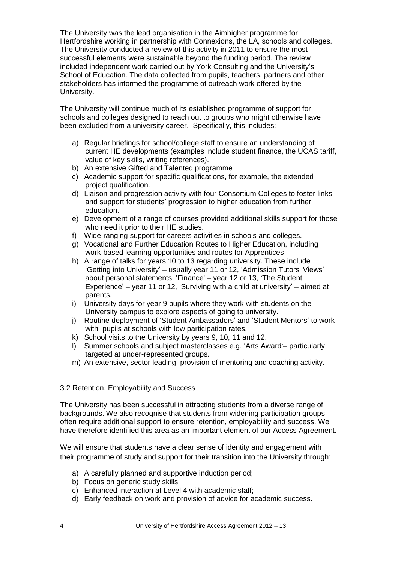The University was the lead organisation in the Aimhigher programme for Hertfordshire working in partnership with Connexions, the LA, schools and colleges. The University conducted a review of this activity in 2011 to ensure the most successful elements were sustainable beyond the funding period. The review included independent work carried out by York Consulting and the University's School of Education. The data collected from pupils, teachers, partners and other stakeholders has informed the programme of outreach work offered by the University.

The University will continue much of its established programme of support for schools and colleges designed to reach out to groups who might otherwise have been excluded from a university career. Specifically, this includes:

- a) Regular briefings for school/college staff to ensure an understanding of current HE developments (examples include student finance, the UCAS tariff, value of key skills, writing references).
- b) An extensive Gifted and Talented programme
- c) Academic support for specific qualifications, for example, the extended project qualification.
- d) Liaison and progression activity with four Consortium Colleges to foster links and support for students' progression to higher education from further education.
- e) Development of a range of courses provided additional skills support for those who need it prior to their HE studies.
- f) Wide-ranging support for careers activities in schools and colleges.
- g) Vocational and Further Education Routes to Higher Education, including work-based learning opportunities and routes for Apprentices
- h) A range of talks for years 10 to 13 regarding university. These include 'Getting into University' – usually year 11 or 12, 'Admission Tutors' Views' about personal statements, 'Finance' – year 12 or 13, 'The Student Experience' – year 11 or 12, 'Surviving with a child at university' – aimed at parents.
- i) University days for year 9 pupils where they work with students on the University campus to explore aspects of going to university.
- j) Routine deployment of 'Student Ambassadors' and 'Student Mentors' to work with pupils at schools with low participation rates.
- k) School visits to the University by years 9, 10, 11 and 12.
- l) Summer schools and subject masterclasses e.g. 'Arts Award'– particularly targeted at under-represented groups.
- m) An extensive, sector leading, provision of mentoring and coaching activity.

## 3.2 Retention, Employability and Success

The University has been successful in attracting students from a diverse range of backgrounds. We also recognise that students from widening participation groups often require additional support to ensure retention, employability and success. We have therefore identified this area as an important element of our Access Agreement.

We will ensure that students have a clear sense of identity and engagement with their programme of study and support for their transition into the University through:

- a) A carefully planned and supportive induction period;
- b) Focus on generic study skills
- c) Enhanced interaction at Level 4 with academic staff;
- d) Early feedback on work and provision of advice for academic success.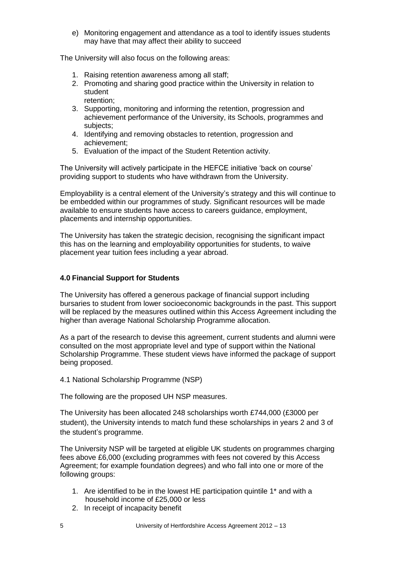e) Monitoring engagement and attendance as a tool to identify issues students may have that may affect their ability to succeed

The University will also focus on the following areas:

- 1. Raising retention awareness among all staff;
- 2. Promoting and sharing good practice within the University in relation to student retention;
- 3. Supporting, monitoring and informing the retention, progression and achievement performance of the University, its Schools, programmes and subjects:
- 4. Identifying and removing obstacles to retention, progression and achievement;
- 5. Evaluation of the impact of the Student Retention activity.

The University will actively participate in the HEFCE initiative 'back on course' providing support to students who have withdrawn from the University.

Employability is a central element of the University's strategy and this will continue to be embedded within our programmes of study. Significant resources will be made available to ensure students have access to careers guidance, employment, placements and internship opportunities.

The University has taken the strategic decision, recognising the significant impact this has on the learning and employability opportunities for students, to waive placement year tuition fees including a year abroad.

### **4.0 Financial Support for Students**

The University has offered a generous package of financial support including bursaries to student from lower socioeconomic backgrounds in the past. This support will be replaced by the measures outlined within this Access Agreement including the higher than average National Scholarship Programme allocation.

As a part of the research to devise this agreement, current students and alumni were consulted on the most appropriate level and type of support within the National Scholarship Programme. These student views have informed the package of support being proposed.

#### 4.1 National Scholarship Programme (NSP)

The following are the proposed UH NSP measures.

The University has been allocated 248 scholarships worth £744,000 (£3000 per student), the University intends to match fund these scholarships in years 2 and 3 of the student's programme.

The University NSP will be targeted at eligible UK students on programmes charging fees above £6,000 (excluding programmes with fees not covered by this Access Agreement; for example foundation degrees) and who fall into one or more of the following groups:

- 1. Are identified to be in the lowest HE participation quintile 1\* and with a household income of £25,000 or less
- 2. In receipt of incapacity benefit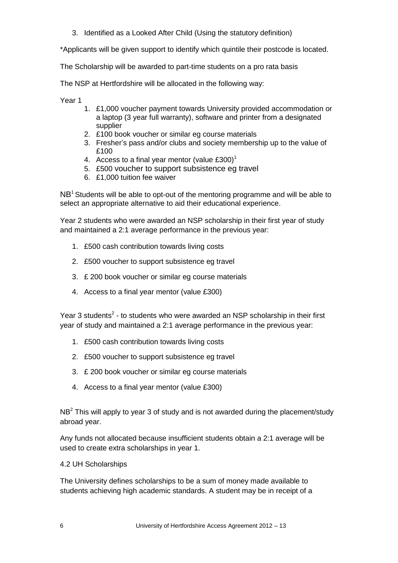3. Identified as a Looked After Child (Using the statutory definition)

\*Applicants will be given support to identify which quintile their postcode is located.

The Scholarship will be awarded to part-time students on a pro rata basis

The NSP at Hertfordshire will be allocated in the following way:

Year 1

- 1. £1,000 voucher payment towards University provided accommodation or a laptop (3 year full warranty), software and printer from a designated supplier
- 2. £100 book voucher or similar eg course materials
- 3. Fresher's pass and/or clubs and society membership up to the value of £100
- 4. Access to a final year mentor (value  $£300$ )<sup>1</sup>
- 5. £500 voucher to support subsistence eg travel
- 6. £1,000 tuition fee waiver

 $NB<sup>1</sup>$  Students will be able to opt-out of the mentoring programme and will be able to select an appropriate alternative to aid their educational experience.

Year 2 students who were awarded an NSP scholarship in their first year of study and maintained a 2:1 average performance in the previous year:

- 1. £500 cash contribution towards living costs
- 2. £500 voucher to support subsistence eg travel
- 3. £ 200 book voucher or similar eg course materials
- 4. Access to a final year mentor (value £300)

Year 3 students<sup>2</sup> - to students who were awarded an NSP scholarship in their first year of study and maintained a 2:1 average performance in the previous year:

- 1. £500 cash contribution towards living costs
- 2. £500 voucher to support subsistence eg travel
- 3. £ 200 book voucher or similar eg course materials
- 4. Access to a final year mentor (value £300)

NB<sup>2</sup> This will apply to year 3 of study and is not awarded during the placement/study abroad year.

Any funds not allocated because insufficient students obtain a 2:1 average will be used to create extra scholarships in year 1.

## 4.2 UH Scholarships

The University defines scholarships to be a sum of money made available to students achieving high academic standards. A student may be in receipt of a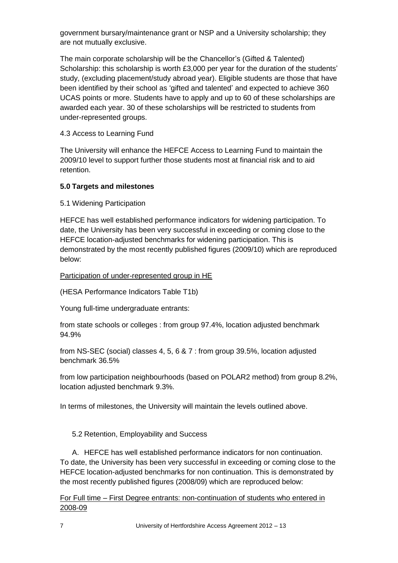government bursary/maintenance grant or NSP and a University scholarship; they are not mutually exclusive.

The main corporate scholarship will be the Chancellor's (Gifted & Talented) Scholarship: this scholarship is worth £3,000 per year for the duration of the students' study, (excluding placement/study abroad year). Eligible students are those that have been identified by their school as 'gifted and talented' and expected to achieve 360 UCAS points or more. Students have to apply and up to 60 of these scholarships are awarded each year. 30 of these scholarships will be restricted to students from under-represented groups.

# 4.3 Access to Learning Fund

The University will enhance the HEFCE Access to Learning Fund to maintain the 2009/10 level to support further those students most at financial risk and to aid retention.

# **5.0 Targets and milestones**

5.1 Widening Participation

HEFCE has well established performance indicators for widening participation. To date, the University has been very successful in exceeding or coming close to the HEFCE location-adjusted benchmarks for widening participation. This is demonstrated by the most recently published figures (2009/10) which are reproduced below:

# Participation of under-represented group in HE

(HESA Performance Indicators Table T1b)

Young full-time undergraduate entrants:

from state schools or colleges : from group 97.4%, location adjusted benchmark 94.9%

from NS-SEC (social) classes 4, 5, 6 & 7 : from group 39.5%, location adjusted benchmark 36.5%

from low participation neighbourhoods (based on POLAR2 method) from group 8.2%, location adjusted benchmark 9.3%.

In terms of milestones, the University will maintain the levels outlined above.

5.2 Retention, Employability and Success

A. HEFCE has well established performance indicators for non continuation. To date, the University has been very successful in exceeding or coming close to the HEFCE location-adjusted benchmarks for non continuation. This is demonstrated by the most recently published figures (2008/09) which are reproduced below:

For Full time – First Degree entrants: non-continuation of students who entered in 2008-09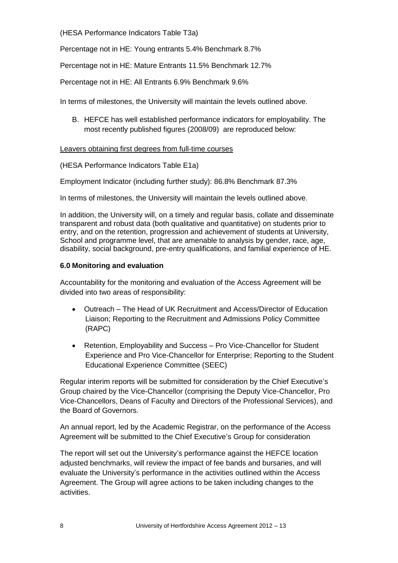(HESA Performance Indicators Table T3a)

Percentage not in HE: Young entrants 5.4% Benchmark 8.7%

Percentage not in HE: Mature Entrants 11.5% Benchmark 12.7%

Percentage not in HE: All Entrants 6.9% Benchmark 9.6%

In terms of milestones, the University will maintain the levels outlined above.

B. HEFCE has well established performance indicators for employability. The most recently published figures (2008/09) are reproduced below:

## Leavers obtaining first degrees from full-time courses

(HESA Performance Indicators Table E1a)

Employment Indicator (including further study): 86.8% Benchmark 87.3%

In terms of milestones, the University will maintain the levels outlined above.

In addition, the University will, on a timely and regular basis, collate and disseminate transparent and robust data (both qualitative and quantitative) on students prior to entry, and on the retention, progression and achievement of students at University, School and programme level, that are amenable to analysis by gender, race, age, disability, social background, pre-entry qualifications, and familial experience of HE.

## **6.0 Monitoring and evaluation**

Accountability for the monitoring and evaluation of the Access Agreement will be divided into two areas of responsibility:

- Outreach The Head of UK Recruitment and Access/Director of Education Liaison; Reporting to the Recruitment and Admissions Policy Committee (RAPC)
- Retention, Employability and Success Pro Vice-Chancellor for Student Experience and Pro Vice-Chancellor for Enterprise; Reporting to the Student Educational Experience Committee (SEEC)

Regular interim reports will be submitted for consideration by the Chief Executive's Group chaired by the Vice-Chancellor (comprising the Deputy Vice-Chancellor, Pro Vice-Chancellors, Deans of Faculty and Directors of the Professional Services), and the Board of Governors.

An annual report, led by the Academic Registrar, on the performance of the Access Agreement will be submitted to the Chief Executive's Group for consideration

The report will set out the University's performance against the HEFCE location adjusted benchmarks, will review the impact of fee bands and bursaries, and will evaluate the University's performance in the activities outlined within the Access Agreement. The Group will agree actions to be taken including changes to the activities.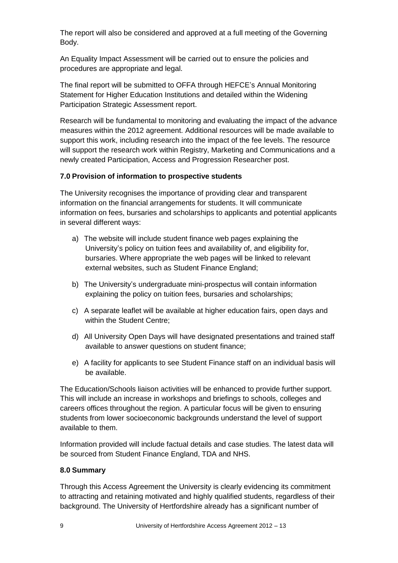The report will also be considered and approved at a full meeting of the Governing Body.

An Equality Impact Assessment will be carried out to ensure the policies and procedures are appropriate and legal.

The final report will be submitted to OFFA through HEFCE's Annual Monitoring Statement for Higher Education Institutions and detailed within the Widening Participation Strategic Assessment report.

Research will be fundamental to monitoring and evaluating the impact of the advance measures within the 2012 agreement. Additional resources will be made available to support this work, including research into the impact of the fee levels. The resource will support the research work within Registry, Marketing and Communications and a newly created Participation, Access and Progression Researcher post.

## **7.0 Provision of information to prospective students**

The University recognises the importance of providing clear and transparent information on the financial arrangements for students. It will communicate information on fees, bursaries and scholarships to applicants and potential applicants in several different ways:

- a) The website will include student finance web pages explaining the University's policy on tuition fees and availability of, and eligibility for, bursaries. Where appropriate the web pages will be linked to relevant external websites, such as Student Finance England;
- b) The University's undergraduate mini-prospectus will contain information explaining the policy on tuition fees, bursaries and scholarships;
- c) A separate leaflet will be available at higher education fairs, open days and within the Student Centre;
- d) All University Open Days will have designated presentations and trained staff available to answer questions on student finance;
- e) A facility for applicants to see Student Finance staff on an individual basis will be available.

The Education/Schools liaison activities will be enhanced to provide further support. This will include an increase in workshops and briefings to schools, colleges and careers offices throughout the region. A particular focus will be given to ensuring students from lower socioeconomic backgrounds understand the level of support available to them.

Information provided will include factual details and case studies. The latest data will be sourced from Student Finance England, TDA and NHS.

## **8.0 Summary**

Through this Access Agreement the University is clearly evidencing its commitment to attracting and retaining motivated and highly qualified students, regardless of their background. The University of Hertfordshire already has a significant number of